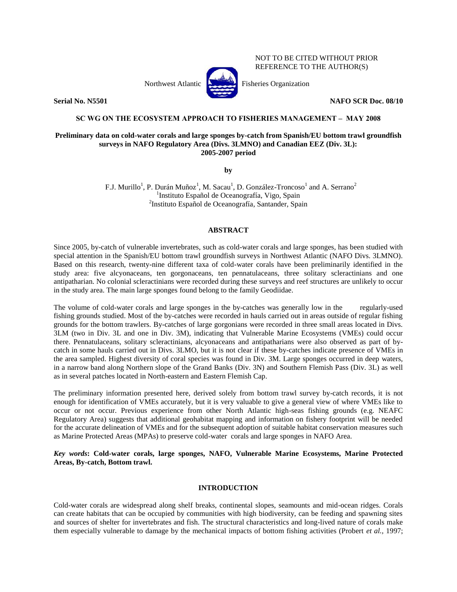

NOT TO BE CITED WITHOUT PRIOR REFERENCE TO THE AUTHOR(S)

Northwest Atlantic **Property** Fisheries Organization

**Serial No. N5501 NAFO SCR Doc. 08/10**

# **SC WG ON THE ECOSYSTEM APPROACH TO FISHERIES MANAGEMENT – MAY 2008**

# **Preliminary data on cold-water corals and large sponges by-catch from Spanish/EU bottom trawl groundfish surveys in NAFO Regulatory Area (Divs. 3LMNO) and Canadian EEZ (Div. 3L): 2005-2007 period**

**by**

F.J. Murillo<sup>1</sup>, P. Durán Muñoz<sup>1</sup>, M. Sacau<sup>1</sup>, D. González-Troncoso<sup>1</sup> and A. Serrano<sup>2</sup> <sup>1</sup>Instituto Español de Oceanografía, Vigo, Spain 2 Instituto Español de Oceanografía, Santander, Spain

# **ABSTRACT**

Since 2005, by-catch of vulnerable invertebrates, such as cold-water corals and large sponges, has been studied with special attention in the Spanish/EU bottom trawl groundfish surveys in Northwest Atlantic (NAFO Divs. 3LMNO). Based on this research, twenty-nine different taxa of cold-water corals have been preliminarily identified in the study area: five alcyonaceans, ten gorgonaceans, ten pennatulaceans, three solitary scleractinians and one antipatharian. No colonial scleractinians were recorded during these surveys and reef structures are unlikely to occur in the study area. The main large sponges found belong to the family Geodiidae.

The volume of cold-water corals and large sponges in the by-catches was generally low in the regularly-used fishing grounds studied. Most of the by-catches were recorded in hauls carried out in areas outside of regular fishing grounds for the bottom trawlers. By-catches of large gorgonians were recorded in three small areas located in Divs. 3LM (two in Div. 3L and one in Div. 3M), indicating that Vulnerable Marine Ecosystems (VMEs) could occur there. Pennatulaceans, solitary scleractinians, alcyonaceans and antipatharians were also observed as part of bycatch in some hauls carried out in Divs. 3LMO, but it is not clear if these by-catches indicate presence of VMEs in the area sampled. Highest diversity of coral species was found in Div. 3M. Large sponges occurred in deep waters, in a narrow band along Northern slope of the Grand Banks (Div. 3N) and Southern Flemish Pass (Div. 3L) as well as in several patches located in North-eastern and Eastern Flemish Cap.

The preliminary information presented here, derived solely from bottom trawl survey by-catch records, it is not enough for identification of VMEs accurately, but it is very valuable to give a general view of where VMEs like to occur or not occur. Previous experience from other North Atlantic high-seas fishing grounds (e.g. NEAFC Regulatory Area) suggests that additional geohabitat mapping and information on fishery footprint will be needed for the accurate delineation of VMEs and for the subsequent adoption of suitable habitat conservation measures such as Marine Protected Areas (MPAs) to preserve cold-water corals and large sponges in NAFO Area.

# *Key words***: Cold-water corals, large sponges, NAFO, Vulnerable Marine Ecosystems, Marine Protected Areas, By-catch, Bottom trawl.**

# **INTRODUCTION**

Cold-water corals are widespread along shelf breaks, continental slopes, seamounts and mid-ocean ridges. Corals can create habitats that can be occupied by communities with high biodiversity, can be feeding and spawning sites and sources of shelter for invertebrates and fish. The structural characteristics and long-lived nature of corals make them especially vulnerable to damage by the mechanical impacts of bottom fishing activities (Probert *et al.,* 1997;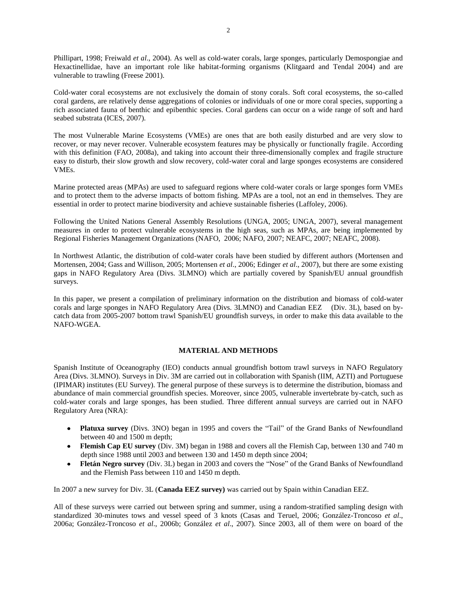Phillipart, 1998; Freiwald *et al*., 2004). As well as cold-water corals, large sponges, particularly Demospongiae and Hexactinellidae, have an important role like habitat-forming organisms (Klitgaard and Tendal 2004) and are vulnerable to trawling (Freese 2001).

Cold-water coral ecosystems are not exclusively the domain of stony corals. Soft coral ecosystems, the so-called coral gardens, are relatively dense aggregations of colonies or individuals of one or more coral species, supporting a rich associated fauna of benthic and epibenthic species. Coral gardens can occur on a wide range of soft and hard seabed substrata (ICES, 2007).

The most Vulnerable Marine Ecosystems (VMEs) are ones that are both easily disturbed and are very slow to recover, or may never recover. Vulnerable ecosystem features may be physically or functionally fragile. According with this definition (FAO, 2008a), and taking into account their three-dimensionally complex and fragile structure easy to disturb, their slow growth and slow recovery, cold-water coral and large sponges ecosystems are considered VMEs.

Marine protected areas (MPAs) are used to safeguard regions where cold-water corals or large sponges form VMEs and to protect them to the adverse impacts of bottom fishing. MPAs are a tool, not an end in themselves. They are essential in order to protect marine biodiversity and achieve sustainable fisheries (Laffoley, 2006).

Following the United Nations General Assembly Resolutions (UNGA, 2005; UNGA, 2007), several management measures in order to protect vulnerable ecosystems in the high seas, such as MPAs, are being implemented by Regional Fisheries Management Organizations (NAFO, 2006; NAFO, 2007; NEAFC, 2007; NEAFC, 2008).

In Northwest Atlantic, the distribution of cold-water corals have been studied by different authors (Mortensen and Mortensen, 2004; Gass and Willison, 2005; Mortensen *et al*., 2006; Edinger *et al*., 2007), but there are some existing gaps in NAFO Regulatory Area (Divs. 3LMNO) which are partially covered by Spanish/EU annual groundfish surveys.

In this paper, we present a compilation of preliminary information on the distribution and biomass of cold-water corals and large sponges in NAFO Regulatory Area (Divs. 3LMNO) and Canadian EEZ (Div. 3L), based on bycatch data from 2005-2007 bottom trawl Spanish/EU groundfish surveys, in order to make this data available to the NAFO-WGEA.

## **MATERIAL AND METHODS**

Spanish Institute of Oceanography (IEO) conducts annual groundfish bottom trawl surveys in NAFO Regulatory Area (Divs. 3LMNO). Surveys in Div. 3M are carried out in collaboration with Spanish (IIM, AZTI) and Portuguese (IPIMAR) institutes (EU Survey). The general purpose of these surveys is to determine the distribution, biomass and abundance of main commercial groundfish species. Moreover, since 2005, vulnerable invertebrate by-catch, such as cold-water corals and large sponges, has been studied. Three different annual surveys are carried out in NAFO Regulatory Area (NRA):

- **Platuxa survey** (Divs. 3NO) began in 1995 and covers the "Tail" of the Grand Banks of Newfoundland between 40 and 1500 m depth;
- **Flemish Cap EU survey** (Div. 3M) began in 1988 and covers all the Flemish Cap, between 130 and 740 m depth since 1988 until 2003 and between 130 and 1450 m depth since 2004;
- **Fletán Negro survey** (Div. 3L) began in 2003 and covers the "Nose" of the Grand Banks of Newfoundland  $\bullet$ and the Flemish Pass between 110 and 1450 m depth.

In 2007 a new survey for Div. 3L (**Canada EEZ survey)** was carried out by Spain within Canadian EEZ.

All of these surveys were carried out between spring and summer, using a random-stratified sampling design with standardized 30-minutes tows and vessel speed of 3 knots (Casas and Teruel, 2006; González-Troncoso *et al*., 2006a; González-Troncoso *et al*., 2006b; González *et al*., 2007). Since 2003, all of them were on board of the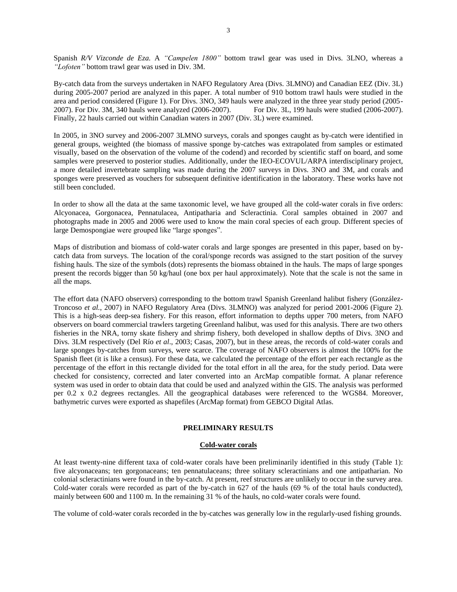Spanish *R/V Vizconde de Eza.* A *"Campelen 1800"* bottom trawl gear was used in Divs. 3LNO, whereas a *"Lofoten"* bottom trawl gear was used in Div. 3M.

By-catch data from the surveys undertaken in NAFO Regulatory Area (Divs. 3LMNO) and Canadian EEZ (Div. 3L) during 2005-2007 period are analyzed in this paper. A total number of 910 bottom trawl hauls were studied in the area and period considered (Figure 1). For Divs. 3NO, 349 hauls were analyzed in the three year study period (2005- 2007). For Div. 3M, 340 hauls were analyzed (2006-2007). For Div. 3L, 199 hauls were studied (2006-2007). Finally, 22 hauls carried out within Canadian waters in 2007 (Div. 3L) were examined.

In 2005, in 3NO survey and 2006-2007 3LMNO surveys, corals and sponges caught as by-catch were identified in general groups, weighted (the biomass of massive sponge by-catches was extrapolated from samples or estimated visually, based on the observation of the volume of the codend) and recorded by scientific staff on board, and some samples were preserved to posterior studies. Additionally, under the IEO-ECOVUL/ARPA interdisciplinary project, a more detailed invertebrate sampling was made during the 2007 surveys in Divs. 3NO and 3M, and corals and sponges were preserved as vouchers for subsequent definitive identification in the laboratory. These works have not still been concluded.

In order to show all the data at the same taxonomic level, we have grouped all the cold-water corals in five orders: Alcyonacea, Gorgonacea, Pennatulacea, Antipatharia and Scleractinia. Coral samples obtained in 2007 and photographs made in 2005 and 2006 were used to know the main coral species of each group. Different species of large Demospongiae were grouped like "large sponges".

Maps of distribution and biomass of cold-water corals and large sponges are presented in this paper, based on bycatch data from surveys. The location of the coral/sponge records was assigned to the start position of the survey fishing hauls. The size of the symbols (dots) represents the biomass obtained in the hauls. The maps of large sponges present the records bigger than 50 kg/haul (one box per haul approximately). Note that the scale is not the same in all the maps.

The effort data (NAFO observers) corresponding to the bottom trawl Spanish Greenland halibut fishery (González-Troncoso *et al.*, 2007) in NAFO Regulatory Area (Divs. 3LMNO) was analyzed for period 2001-2006 (Figure 2). This is a high-seas deep-sea fishery. For this reason, effort information to depths upper 700 meters, from NAFO observers on board commercial trawlers targeting Greenland halibut, was used for this analysis. There are two others fisheries in the NRA, torny skate fishery and shrimp fishery, both developed in shallow depths of Divs. 3NO and Divs. 3LM respectively (Del Río *et al*., 2003; Casas, 2007), but in these areas, the records of cold-water corals and large sponges by-catches from surveys, were scarce. The coverage of NAFO observers is almost the 100% for the Spanish fleet (it is like a census). For these data, we calculated the percentage of the effort per each rectangle as the percentage of the effort in this rectangle divided for the total effort in all the area, for the study period. Data were checked for consistency, corrected and later converted into an ArcMap compatible format. A planar reference system was used in order to obtain data that could be used and analyzed within the GIS. The analysis was performed per 0.2 x 0.2 degrees rectangles. All the geographical databases were referenced to the WGS84. Moreover, bathymetric curves were exported as shapefiles (ArcMap format) from GEBCO Digital Atlas.

## **PRELIMINARY RESULTS**

### **Cold-water corals**

At least twenty-nine different taxa of cold-water corals have been preliminarily identified in this study (Table 1): five alcyonaceans; ten gorgonaceans; ten pennatulaceans; three solitary scleractinians and one antipatharian. No colonial scleractinians were found in the by-catch. At present, reef structures are unlikely to occur in the survey area. Cold-water corals were recorded as part of the by-catch in 627 of the hauls (69 % of the total hauls conducted), mainly between 600 and 1100 m. In the remaining 31 % of the hauls, no cold-water corals were found.

The volume of cold-water corals recorded in the by-catches was generally low in the regularly-used fishing grounds.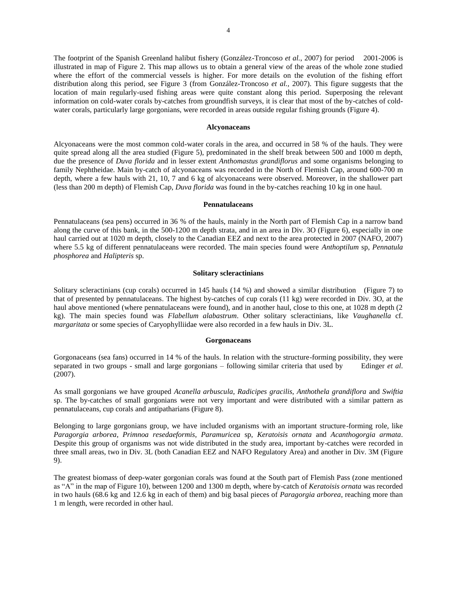The footprint of the Spanish Greenland halibut fishery (González-Troncoso *et al.*, 2007) for period 2001-2006 is illustrated in map of Figure 2. This map allows us to obtain a general view of the areas of the whole zone studied where the effort of the commercial vessels is higher. For more details on the evolution of the fishing effort distribution along this period, see Figure 3 (from González-Troncoso *et al.,* 2007). This figure suggests that the location of main regularly-used fishing areas were quite constant along this period. Superposing the relevant information on cold-water corals by-catches from groundfish surveys, it is clear that most of the by-catches of coldwater corals, particularly large gorgonians, were recorded in areas outside regular fishing grounds (Figure 4).

#### **Alcyonaceans**

Alcyonaceans were the most common cold-water corals in the area, and occurred in 58 % of the hauls. They were quite spread along all the area studied (Figure 5), predominated in the shelf break between 500 and 1000 m depth, due the presence of *Duva florida* and in lesser extent *Anthomastus grandiflorus* and some organisms belonging to family Nephtheidae. Main by-catch of alcyonaceans was recorded in the North of Flemish Cap, around 600-700 m depth, where a few hauls with 21, 10, 7 and 6 kg of alcyonaceans were observed. Moreover, in the shallower part (less than 200 m depth) of Flemish Cap, *Duva florida* was found in the by-catches reaching 10 kg in one haul.

#### **Pennatulaceans**

Pennatulaceans (sea pens) occurred in 36 % of the hauls, mainly in the North part of Flemish Cap in a narrow band along the curve of this bank, in the 500-1200 m depth strata, and in an area in Div. 3O (Figure 6), especially in one haul carried out at 1020 m depth, closely to the Canadian EEZ and next to the area protected in 2007 (NAFO, 2007) where 5.5 kg of different pennatulaceans were recorded. The main species found were *Anthoptilum* sp, *Pennatula phosphorea* and *Halipteris* sp.

### **Solitary scleractinians**

Solitary scleractinians (cup corals) occurred in 145 hauls (14 %) and showed a similar distribution (Figure 7) to that of presented by pennatulaceans. The highest by-catches of cup corals (11 kg) were recorded in Div. 3O, at the haul above mentioned (where pennatulaceans were found), and in another haul, close to this one, at 1028 m depth (2) kg). The main species found was *Flabellum alabastrum*. Other solitary scleractinians, like *Vaughanella* cf. *margaritata* or some species of Caryophylliidae were also recorded in a few hauls in Div. 3L.

### **Gorgonaceans**

Gorgonaceans (sea fans) occurred in 14 % of the hauls. In relation with the structure-forming possibility, they were separated in two groups - small and large gorgonians – following similar criteria that used by Edinger *et al*. (2007).

As small gorgonians we have grouped *Acanella arbuscula*, *Radicipes gracilis*, *Anthothela grandiflora* and *Swiftia* sp. The by-catches of small gorgonians were not very important and were distributed with a similar pattern as pennatulaceans, cup corals and antipatharians (Figure 8).

Belonging to large gorgonians group, we have included organisms with an important structure-forming role, like *Paragorgia arborea*, *Primnoa resedaeformis*, *Paramuricea* sp, *Keratoisis ornata* and *Acanthogorgia armata*. Despite this group of organisms was not wide distributed in the study area, important by-catches were recorded in three small areas, two in Div. 3L (both Canadian EEZ and NAFO Regulatory Area) and another in Div. 3M (Figure 9).

The greatest biomass of deep-water gorgonian corals was found at the South part of Flemish Pass (zone mentioned as "A" in the map of Figure 10), between 1200 and 1300 m depth, where by-catch of *Keratoisis ornata* was recorded in two hauls (68.6 kg and 12.6 kg in each of them) and big basal pieces of *Paragorgia arborea*, reaching more than 1 m length, were recorded in other haul.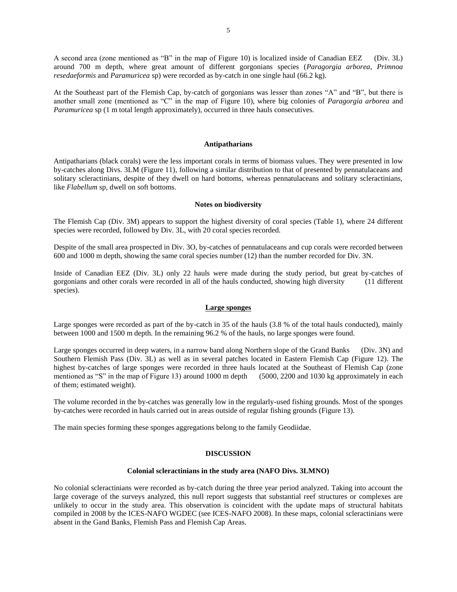A second area (zone mentioned as "B" in the map of Figure 10) is localized inside of Canadian EEZ (Div. 3L) around 700 m depth, where great amount of different gorgonians species (*Paragorgia arborea*, *Primnoa resedaeformis* and *Paramuricea* sp) were recorded as by-catch in one single haul (66.2 kg).

At the Southeast part of the Flemish Cap, by-catch of gorgonians was lesser than zones "A" and "B", but there is another small zone (mentioned as "C" in the map of Figure 10), where big colonies of *Paragorgia arborea* and *Paramuricea* sp (1 m total length approximately), occurred in three hauls consecutives.

### **Antipatharians**

Antipatharians (black corals) were the less important corals in terms of biomass values. They were presented in low by-catches along Divs. 3LM (Figure 11), following a similar distribution to that of presented by pennatulaceans and solitary scleractinians, despite of they dwell on hard bottoms, whereas pennatulaceans and solitary scleractinians, like *Flabellum* sp, dwell on soft bottoms.

### **Notes on biodiversity**

The Flemish Cap (Div. 3M) appears to support the highest diversity of coral species (Table 1), where 24 different species were recorded, followed by Div. 3L, with 20 coral species recorded.

Despite of the small area prospected in Div. 3O, by-catches of pennatulaceans and cup corals were recorded between 600 and 1000 m depth, showing the same coral species number (12) than the number recorded for Div. 3N.

Inside of Canadian EEZ (Div. 3L) only 22 hauls were made during the study period, but great by-catches of gorgonians and other corals were recorded in all of the hauls conducted, showing high diversity (11 different species).

### **Large sponges**

Large sponges were recorded as part of the by-catch in 35 of the hauls (3.8 % of the total hauls conducted), mainly between 1000 and 1500 m depth. In the remaining 96.2 % of the hauls, no large sponges were found.

Large sponges occurred in deep waters, in a narrow band along Northern slope of the Grand Banks (Div. 3N) and Southern Flemish Pass (Div. 3L) as well as in several patches located in Eastern Flemish Cap (Figure 12). The highest by-catches of large sponges were recorded in three hauls located at the Southeast of Flemish Cap (zone mentioned as "S" in the map of Figure 13) around 1000 m depth (5000, 2200 and 1030 kg approximately in each of them; estimated weight).

The volume recorded in the by-catches was generally low in the regularly-used fishing grounds. Most of the sponges by-catches were recorded in hauls carried out in areas outside of regular fishing grounds (Figure 13).

The main species forming these sponges aggregations belong to the family Geodiidae.

## **DISCUSSION**

### **Colonial scleractinians in the study area (NAFO Divs. 3LMNO)**

No colonial scleractinians were recorded as by-catch during the three year period analyzed. Taking into account the large coverage of the surveys analyzed, this null report suggests that substantial reef structures or complexes are unlikely to occur in the study area. This observation is coincident with the update maps of structural habitats compiled in 2008 by the ICES-NAFO WGDEC (see ICES-NAFO 2008). In these maps, colonial scleractinians were absent in the Gand Banks, Flemish Pass and Flemish Cap Areas.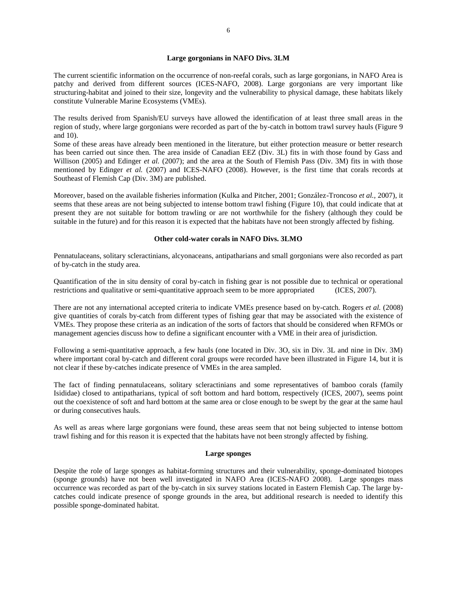# **Large gorgonians in NAFO Divs. 3LM**

The current scientific information on the occurrence of non-reefal corals, such as large gorgonians, in NAFO Area is patchy and derived from different sources (ICES-NAFO, 2008). Large gorgonians are very important like structuring-habitat and joined to their size, longevity and the vulnerability to physical damage, these habitats likely constitute Vulnerable Marine Ecosystems (VMEs).

The results derived from Spanish/EU surveys have allowed the identification of at least three small areas in the region of study, where large gorgonians were recorded as part of the by-catch in bottom trawl survey hauls (Figure 9 and 10).

Some of these areas have already been mentioned in the literature, but either protection measure or better research has been carried out since then. The area inside of Canadian EEZ (Div. 3L) fits in with those found by Gass and Willison (2005) and Edinger *et al.* (2007); and the area at the South of Flemish Pass (Div. 3M) fits in with those mentioned by Edinger *et al.* (2007) and ICES-NAFO (2008). However, is the first time that corals records at Southeast of Flemish Cap (Div. 3M) are published.

Moreover, based on the available fisheries information (Kulka and Pitcher, 2001; González-Troncoso *et al.,* 2007), it seems that these areas are not being subjected to intense bottom trawl fishing (Figure 10), that could indicate that at present they are not suitable for bottom trawling or are not worthwhile for the fishery (although they could be suitable in the future) and for this reason it is expected that the habitats have not been strongly affected by fishing.

## **Other cold-water corals in NAFO Divs. 3LMO**

Pennatulaceans, solitary scleractinians, alcyonaceans, antipatharians and small gorgonians were also recorded as part of by-catch in the study area.

Quantification of the in situ density of coral by-catch in fishing gear is not possible due to technical or operational restrictions and qualitative or semi-quantitative approach seem to be more appropriated (ICES, 2007).

There are not any international accepted criteria to indicate VMEs presence based on by-catch. Rogers *et al.* (2008) give quantities of corals by-catch from different types of fishing gear that may be associated with the existence of VMEs. They propose these criteria as an indication of the sorts of factors that should be considered when RFMOs or management agencies discuss how to define a significant encounter with a VME in their area of jurisdiction.

Following a semi-quantitative approach, a few hauls (one located in Div. 3O, six in Div. 3L and nine in Div. 3M) where important coral by-catch and different coral groups were recorded have been illustrated in Figure 14, but it is not clear if these by-catches indicate presence of VMEs in the area sampled.

The fact of finding pennatulaceans, solitary scleractinians and some representatives of bamboo corals (family Isididae) closed to antipatharians, typical of soft bottom and hard bottom, respectively (ICES, 2007), seems point out the coexistence of soft and hard bottom at the same area or close enough to be swept by the gear at the same haul or during consecutives hauls.

As well as areas where large gorgonians were found, these areas seem that not being subjected to intense bottom trawl fishing and for this reason it is expected that the habitats have not been strongly affected by fishing.

### **Large sponges**

Despite the role of large sponges as habitat-forming structures and their vulnerability, sponge-dominated biotopes (sponge grounds) have not been well investigated in NAFO Area (ICES-NAFO 2008). Large sponges mass occurrence was recorded as part of the by-catch in six survey stations located in Eastern Flemish Cap. The large bycatches could indicate presence of sponge grounds in the area, but additional research is needed to identify this possible sponge-dominated habitat.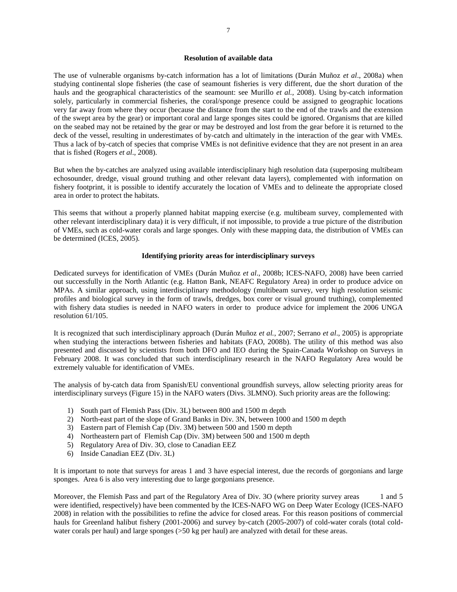## **Resolution of available data**

The use of vulnerable organisms by-catch information has a lot of limitations (Durán Muñoz *et al*., 2008a) when studying continental slope fisheries (the case of seamount fisheries is very different, due the short duration of the hauls and the geographical characteristics of the seamount: see Murillo *et al.,* 2008). Using by-catch information solely, particularly in commercial fisheries, the coral/sponge presence could be assigned to geographic locations very far away from where they occur (because the distance from the start to the end of the trawls and the extension of the swept area by the gear) or important coral and large sponges sites could be ignored. Organisms that are killed on the seabed may not be retained by the gear or may be destroyed and lost from the gear before it is returned to the deck of the vessel, resulting in underestimates of by-catch and ultimately in the interaction of the gear with VMEs. Thus a lack of by-catch of species that comprise VMEs is not definitive evidence that they are not present in an area that is fished (Rogers *et al*., 2008).

But when the by-catches are analyzed using available interdisciplinary high resolution data (superposing multibeam echosounder, dredge, visual ground truthing and other relevant data layers), complemented with information on fishery footprint, it is possible to identify accurately the location of VMEs and to delineate the appropriate closed area in order to protect the habitats.

This seems that without a properly planned habitat mapping exercise (e.g. multibeam survey, complemented with other relevant interdisciplinary data) it is very difficult, if not impossible, to provide a true picture of the distribution of VMEs, such as cold-water corals and large sponges. Only with these mapping data, the distribution of VMEs can be determined (ICES, 2005).

## **Identifying priority areas for interdisciplinary surveys**

Dedicated surveys for identification of VMEs (Durán Muñoz *et al*., 2008b; ICES-NAFO, 2008) have been carried out successfully in the North Atlantic (e.g. Hatton Bank, NEAFC Regulatory Area) in order to produce advice on MPAs. A similar approach, using interdisciplinary methodology (multibeam survey, very high resolution seismic profiles and biological survey in the form of trawls, dredges, box corer or visual ground truthing), complemented with fishery data studies is needed in NAFO waters in order to produce advice for implement the 2006 UNGA resolution 61/105.

It is recognized that such interdisciplinary approach (Durán Muñoz *et al.*, 2007; Serrano *et al*., 2005) is appropriate when studying the interactions between fisheries and habitats (FAO, 2008b). The utility of this method was also presented and discussed by scientists from both DFO and IEO during the Spain-Canada Workshop on Surveys in February 2008. It was concluded that such interdisciplinary research in the NAFO Regulatory Area would be extremely valuable for identification of VMEs.

The analysis of by-catch data from Spanish/EU conventional groundfish surveys, allow selecting priority areas for interdisciplinary surveys (Figure 15) in the NAFO waters (Divs. 3LMNO). Such priority areas are the following:

- 1) South part of Flemish Pass (Div. 3L) between 800 and 1500 m depth
- 2) North-east part of the slope of Grand Banks in Div. 3N, between 1000 and 1500 m depth
- 3) Eastern part of Flemish Cap (Div. 3M) between 500 and 1500 m depth
- 4) Northeastern part of Flemish Cap (Div. 3M) between 500 and 1500 m depth
- 5) Regulatory Area of Div. 3O, close to Canadian EEZ
- 6) Inside Canadian EEZ (Div. 3L)

It is important to note that surveys for areas 1 and 3 have especial interest, due the records of gorgonians and large sponges. Area 6 is also very interesting due to large gorgonians presence.

Moreover, the Flemish Pass and part of the Regulatory Area of Div. 3O (where priority survey areas 1 and 5 were identified, respectively) have been commented by the ICES-NAFO WG on Deep Water Ecology (ICES-NAFO 2008) in relation with the possibilities to refine the advice for closed areas. For this reason positions of commercial hauls for Greenland halibut fishery (2001-2006) and survey by-catch (2005-2007) of cold-water corals (total coldwater corals per haul) and large sponges ( $>50$  kg per haul) are analyzed with detail for these areas.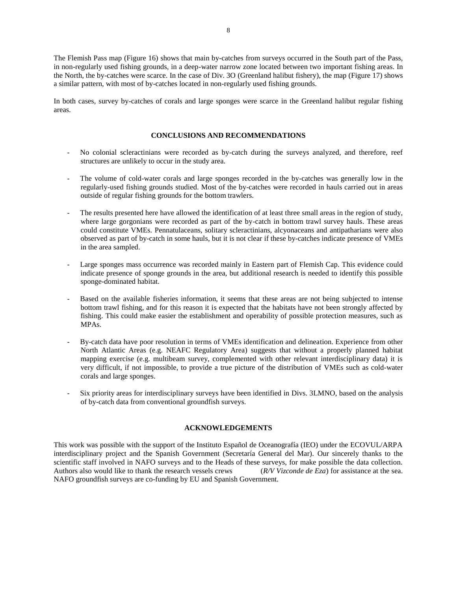The Flemish Pass map (Figure 16) shows that main by-catches from surveys occurred in the South part of the Pass, in non-regularly used fishing grounds, in a deep-water narrow zone located between two important fishing areas. In the North, the by-catches were scarce. In the case of Div. 3O (Greenland halibut fishery), the map (Figure 17) shows a similar pattern, with most of by-catches located in non-regularly used fishing grounds.

In both cases, survey by-catches of corals and large sponges were scarce in the Greenland halibut regular fishing areas.

# **CONCLUSIONS AND RECOMMENDATIONS**

- No colonial scleractinians were recorded as by-catch during the surveys analyzed, and therefore, reef structures are unlikely to occur in the study area.
- The volume of cold-water corals and large sponges recorded in the by-catches was generally low in the regularly-used fishing grounds studied. Most of the by-catches were recorded in hauls carried out in areas outside of regular fishing grounds for the bottom trawlers.
- The results presented here have allowed the identification of at least three small areas in the region of study, where large gorgonians were recorded as part of the by-catch in bottom trawl survey hauls. These areas could constitute VMEs. Pennatulaceans, solitary scleractinians, alcyonaceans and antipatharians were also observed as part of by-catch in some hauls, but it is not clear if these by-catches indicate presence of VMEs in the area sampled.
- Large sponges mass occurrence was recorded mainly in Eastern part of Flemish Cap. This evidence could indicate presence of sponge grounds in the area, but additional research is needed to identify this possible sponge-dominated habitat.
- Based on the available fisheries information, it seems that these areas are not being subjected to intense bottom trawl fishing, and for this reason it is expected that the habitats have not been strongly affected by fishing. This could make easier the establishment and operability of possible protection measures, such as MPAs.
- By-catch data have poor resolution in terms of VMEs identification and delineation. Experience from other North Atlantic Areas (e.g. NEAFC Regulatory Area) suggests that without a properly planned habitat mapping exercise (e.g. multibeam survey, complemented with other relevant interdisciplinary data) it is very difficult, if not impossible, to provide a true picture of the distribution of VMEs such as cold-water corals and large sponges.
- Six priority areas for interdisciplinary surveys have been identified in Divs. 3LMNO, based on the analysis of by-catch data from conventional groundfish surveys.

# **ACKNOWLEDGEMENTS**

This work was possible with the support of the Instituto Español de Oceanografía (IEO) under the ECOVUL/ARPA interdisciplinary project and the Spanish Government (Secretaría General del Mar). Our sincerely thanks to the scientific staff involved in NAFO surveys and to the Heads of these surveys, for make possible the data collection. Authors also would like to thank the research vessels crews (*R/V Vizconde de Eza*) for assistance at the sea. NAFO groundfish surveys are co-funding by EU and Spanish Government.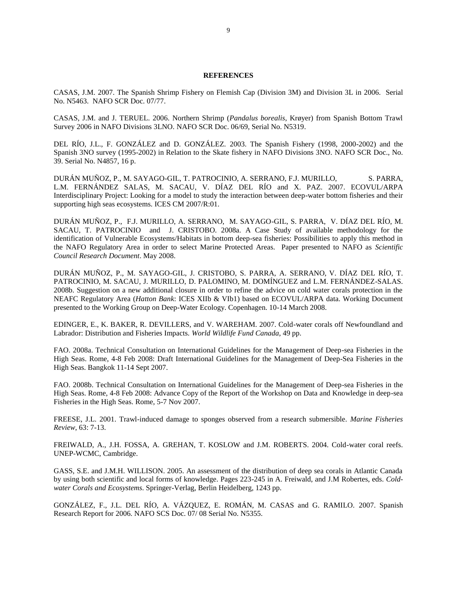## **REFERENCES**

CASAS, J.M. 2007. The Spanish Shrimp Fishery on Flemish Cap (Division 3M) and Division 3L in 2006. Serial No. N5463. NAFO SCR Doc. 07/77.

CASAS, J.M. and J. TERUEL. 2006. Northern Shrimp (*Pandalus borealis*, Krøyer) from Spanish Bottom Trawl Survey 2006 in NAFO Divisions 3LNO. NAFO SCR Doc. 06/69, Serial No. N5319.

DEL RÍO, J.L., F. GONZÁLEZ and D. GONZÁLEZ. 2003. The Spanish Fishery (1998, 2000-2002) and the Spanish 3NO survey (1995-2002) in Relation to the Skate fishery in NAFO Divisions 3NO. NAFO SCR Doc., No. 39. Serial No. N4857, 16 p.

DURÁN MUÑOZ, P., M. SAYAGO-GIL, T. PATROCINIO, A. SERRANO, F.J. MURILLO, S. PARRA, L.M. FERNÁNDEZ SALAS, M. SACAU, V. DÍAZ DEL RÍO and X. PAZ. 2007. ECOVUL/ARPA Interdisciplinary Project: Looking for a model to study the interaction between deep-water bottom fisheries and their supporting high seas ecosystems. ICES CM 2007/R:01.

DURÁN MUÑOZ, P., F.J. MURILLO, A. SERRANO, M. SAYAGO-GIL, S. PARRA, V. DÍAZ DEL RÍO, M. SACAU, T. PATROCINIO and J. CRISTOBO. 2008a. A Case Study of available methodology for the identification of Vulnerable Ecosystems/Habitats in bottom deep-sea fisheries: Possibilities to apply this method in the NAFO Regulatory Area in order to select Marine Protected Areas. Paper presented to NAFO as *Scientific Council Research Document*. May 2008.

DURÁN MUÑOZ, P., M. SAYAGO-GIL, J. CRISTOBO, S. PARRA, A. SERRANO, V. DÍAZ DEL RÍO, T. PATROCINIO, M. SACAU, J. MURILLO, D. PALOMINO, M. DOMÍNGUEZ and L.M. FERNÁNDEZ-SALAS. 2008b. Suggestion on a new additional closure in order to refine the advice on cold water corals protection in the NEAFC Regulatory Area (*Hatton Bank*: ICES XIIb & VIb1) based on ECOVUL/ARPA data. Working Document presented to the Working Group on Deep-Water Ecology. Copenhagen. 10-14 March 2008.

EDINGER, E., K. BAKER, R. DEVILLERS, and V. WAREHAM. 2007. Cold-water corals off Newfoundland and Labrador: Distribution and Fisheries Impacts. *World Wildlife Fund Canada*, 49 pp.

FAO. 2008a. Technical Consultation on International Guidelines for the Management of Deep-sea Fisheries in the High Seas. Rome, 4-8 Feb 2008: Draft International Guidelines for the Management of Deep-Sea Fisheries in the High Seas. Bangkok 11-14 Sept 2007.

FAO. 2008b. Technical Consultation on International Guidelines for the Management of Deep-sea Fisheries in the High Seas. Rome, 4-8 Feb 2008: Advance Copy of the Report of the Workshop on Data and Knowledge in deep-sea Fisheries in the High Seas. Rome, 5-7 Nov 2007.

FREESE, J.L. 2001. Trawl-induced damage to sponges observed from a research submersible*. Marine Fisheries Review*, 63: 7-13.

FREIWALD, A., J.H. FOSSA, A. GREHAN, T. KOSLOW and J.M. ROBERTS. 2004. Cold-water coral reefs. UNEP-WCMC, Cambridge.

GASS, S.E. and J.M.H. WILLISON. 2005. An assessment of the distribution of deep sea corals in Atlantic Canada by using both scientific and local forms of knowledge. Pages 223-245 in A. Freiwald, and J.M Robertes, eds. *Coldwater Corals and Ecosystems*. Springer-Verlag, Berlin Heidelberg, 1243 pp.

GONZÁLEZ, F., J.L. DEL RÍO, A. VÁZQUEZ, E. ROMÁN, M. CASAS and G. RAMILO. 2007. Spanish Research Report for 2006. NAFO SCS Doc. 07/ 08 Serial No. N5355.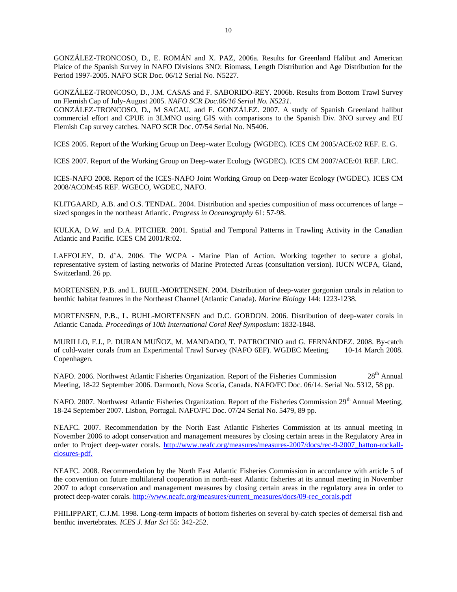GONZÁLEZ-TRONCOSO, D., E. ROMÁN and X. PAZ, 2006a. Results for Greenland Halibut and American Plaice of the Spanish Survey in NAFO Divisions 3NO: Biomass, Length Distribution and Age Distribution for the Period 1997-2005. NAFO SCR Doc. 06/12 Serial No. N5227.

GONZÁLEZ-TRONCOSO, D., J.M. CASAS and F. SABORIDO-REY. 2006b. Results from Bottom Trawl Survey on Flemish Cap of July-August 2005. *NAFO SCR Doc.06/16 Serial No. N5231.*

GONZÁLEZ-TRONCOSO, D., M SACAU, and F. GONZÁLEZ. 2007. A study of Spanish Greenland halibut commercial effort and CPUE in 3LMNO using GIS with comparisons to the Spanish Div. 3NO survey and EU Flemish Cap survey catches. NAFO SCR Doc. 07/54 Serial No. N5406.

ICES 2005. Report of the Working Group on Deep-water Ecology (WGDEC). ICES CM 2005/ACE:02 REF. E. G.

ICES 2007. Report of the Working Group on Deep-water Ecology (WGDEC). ICES CM 2007/ACE:01 REF. LRC.

ICES-NAFO 2008. Report of the ICES-NAFO Joint Working Group on Deep-water Ecology (WGDEC). ICES CM 2008/ACOM:45 REF. WGECO, WGDEC, NAFO.

KLITGAARD, A.B. and O.S. TENDAL. 2004. Distribution and species composition of mass occurrences of large – sized sponges in the northeast Atlantic*. Progress in Oceanography* 61: 57-98.

KULKA, D.W. and D.A. PITCHER. 2001. Spatial and Temporal Patterns in Trawling Activity in the Canadian Atlantic and Pacific. ICES CM 2001/R:02.

LAFFOLEY, D. d'A. 2006. The WCPA - Marine Plan of Action. Working together to secure a global, representative system of lasting networks of Marine Protected Areas (consultation version). IUCN WCPA, Gland, Switzerland. 26 pp.

MORTENSEN, P.B. and L. BUHL-MORTENSEN. 2004. Distribution of deep-water gorgonian corals in relation to benthic habitat features in the Northeast Channel (Atlantic Canada). *Marine Biology* 144: 1223-1238.

MORTENSEN, P.B., L. BUHL-MORTENSEN and D.C. GORDON. 2006. Distribution of deep-water corals in Atlantic Canada. *Proceedings of 10th International Coral Reef Symposium*: 1832-1848.

MURILLO, F.J., P. DURAN MUÑOZ, M. MANDADO, T. PATROCINIO and G. FERNÁNDEZ. 2008. By-catch of cold-water corals from an Experimental Trawl Survey (NAFO 6EF). WGDEC Meeting. 10-14 March 2008. Copenhagen.

NAFO. 2006. Northwest Atlantic Fisheries Organization. Report of the Fisheries Commission 28<sup>th</sup> Annual Meeting, 18-22 September 2006. Darmouth, Nova Scotia, Canada. NAFO/FC Doc. 06/14. Serial No. 5312, 58 pp.

NAFO. 2007. Northwest Atlantic Fisheries Organization. Report of the Fisheries Commission 29<sup>th</sup> Annual Meeting, 18-24 September 2007. Lisbon, Portugal. NAFO/FC Doc. 07/24 Serial No. 5479, 89 pp.

NEAFC. 2007. Recommendation by the North East Atlantic Fisheries Commission at its annual meeting in November 2006 to adopt conservation and management measures by closing certain areas in the Regulatory Area in order to Project deep-water corals. [http://www.neafc.org/measures/measures-2007/docs/rec-9-2007\\_hatton-rockall](http://www.neafc.org/measures/measures-2007/docs/rec-9-2007_hatton-rockall-closures-pdf)[closures-pdf.](http://www.neafc.org/measures/measures-2007/docs/rec-9-2007_hatton-rockall-closures-pdf)

NEAFC. 2008. Recommendation by the North East Atlantic Fisheries Commission in accordance with article 5 of the convention on future multilateral cooperation in north-east Atlantic fisheries at its annual meeting in November 2007 to adopt conservation and management measures by closing certain areas in the regulatory area in order to protect deep-water corals. [http://www.neafc.org/measures/current\\_measures/docs/09-rec\\_corals.pdf](http://www.neafc.org/measures/current_measures/docs/09-rec_corals.pdf)

PHILIPPART, C.J.M. 1998. Long-term impacts of bottom fisheries on several by-catch species of demersal fish and benthic invertebrates*. ICES J. Mar Sci* 55: 342-252.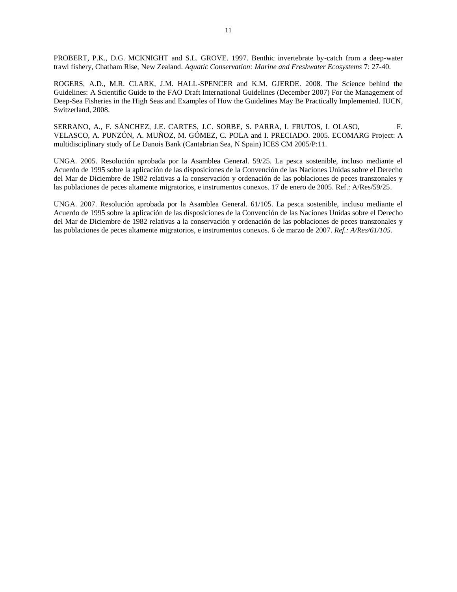PROBERT, P.K., D.G. MCKNIGHT and S.L. GROVE. 1997. Benthic invertebrate by-catch from a deep-water trawl fishery, Chatham Rise, New Zealand. *Aquatic Conservation: Marine and Freshwater Ecosystems* 7: 27-40.

ROGERS, A.D., M.R. CLARK, J.M. HALL-SPENCER and K.M. GJERDE. 2008. The Science behind the Guidelines: A Scientific Guide to the FAO Draft International Guidelines (December 2007) For the Management of Deep-Sea Fisheries in the High Seas and Examples of How the Guidelines May Be Practically Implemented. IUCN, Switzerland, 2008.

SERRANO, A., F. SÁNCHEZ, J.E. CARTES, J.C. SORBE, S. PARRA, I. FRUTOS, I. OLASO, F. VELASCO, A. PUNZÓN, A. MUÑOZ, M. GÓMEZ, C. POLA and I. PRECIADO. 2005. ECOMARG Project: A multidisciplinary study of Le Danois Bank (Cantabrian Sea, N Spain) ICES CM 2005/P:11.

UNGA. 2005. Resolución aprobada por la Asamblea General. 59/25. La pesca sostenible, incluso mediante el Acuerdo de 1995 sobre la aplicación de las disposiciones de la Convención de las Naciones Unidas sobre el Derecho del Mar de Diciembre de 1982 relativas a la conservación y ordenación de las poblaciones de peces transzonales y las poblaciones de peces altamente migratorios, e instrumentos conexos. 17 de enero de 2005. Ref.: A/Res/59/25.

UNGA. 2007. Resolución aprobada por la Asamblea General. 61/105. La pesca sostenible, incluso mediante el Acuerdo de 1995 sobre la aplicación de las disposiciones de la Convención de las Naciones Unidas sobre el Derecho del Mar de Diciembre de 1982 relativas a la conservación y ordenación de las poblaciones de peces transzonales y las poblaciones de peces altamente migratorios, e instrumentos conexos. 6 de marzo de 2007. *Ref.: A/Res/61/105.*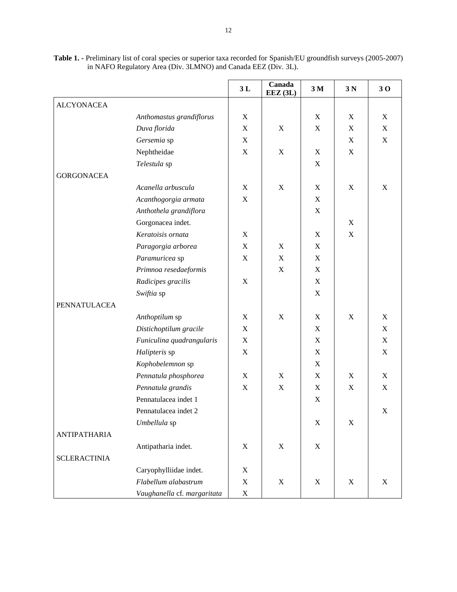|                     |                             | 3L          | Canada<br>EEZ (3L) | 3 <sub>M</sub> | 3N                        | 30          |
|---------------------|-----------------------------|-------------|--------------------|----------------|---------------------------|-------------|
| <b>ALCYONACEA</b>   |                             |             |                    |                |                           |             |
|                     | Anthomastus grandiflorus    | $\mathbf X$ |                    | X              | $\boldsymbol{\mathrm{X}}$ | $\mathbf X$ |
|                     | Duva florida                | $\mathbf X$ | X                  | $\mathbf X$    | X                         | X           |
|                     | Gersemia sp                 | $\mathbf X$ |                    |                | $\mathbf X$               | $\mathbf X$ |
|                     | Nephtheidae                 | $\mathbf X$ | X                  | X              | X                         |             |
|                     | Telestula sp                |             |                    | $\mathbf X$    |                           |             |
| <b>GORGONACEA</b>   |                             |             |                    |                |                           |             |
|                     | Acanella arbuscula          | $\mathbf X$ | X                  | X              | X                         | X           |
|                     | Acanthogorgia armata        | $\mathbf X$ |                    | X              |                           |             |
|                     | Anthothela grandiflora      |             |                    | X              |                           |             |
|                     | Gorgonacea indet.           |             |                    |                | X                         |             |
|                     | Keratoisis ornata           | $\mathbf X$ |                    | $\mathbf X$    | $\mathbf X$               |             |
|                     | Paragorgia arborea          | $\mathbf X$ | X                  | X              |                           |             |
|                     | Paramuricea sp              | $\mathbf X$ | X                  | X              |                           |             |
|                     | Primnoa resedaeformis       |             | X                  | X              |                           |             |
|                     | Radicipes gracilis          | $\mathbf X$ |                    | X              |                           |             |
|                     | Swiftia sp                  |             |                    | $\mathbf X$    |                           |             |
| PENNATULACEA        |                             |             |                    |                |                           |             |
|                     | Anthoptilum sp              | $\mathbf X$ | X                  | X              | X                         | X           |
|                     | Distichoptilum gracile      | $\mathbf X$ |                    | X              |                           | $\mathbf X$ |
|                     | Funiculina quadrangularis   | $\mathbf X$ |                    | X              |                           | X           |
|                     | Halipteris sp               | $\mathbf X$ |                    | $\mathbf X$    |                           | X           |
|                     | Kophobelemnon sp            |             |                    | $\mathbf X$    |                           |             |
|                     | Pennatula phosphorea        | $\mathbf X$ | X                  | X              | X                         | X           |
|                     | Pennatula grandis           | $\mathbf X$ | $\mathbf X$        | X              | $\mathbf X$               | X           |
|                     | Pennatulacea indet 1        |             |                    | $\mathbf X$    |                           |             |
|                     | Pennatulacea indet 2        |             |                    |                |                           | X           |
|                     | Umbellula sp                |             |                    | X              | X                         |             |
| <b>ANTIPATHARIA</b> |                             |             |                    |                |                           |             |
|                     | Antipatharia indet.         | $\mathbf X$ | X                  | $\mathbf X$    |                           |             |
| <b>SCLERACTINIA</b> |                             |             |                    |                |                           |             |
|                     | Caryophylliidae indet.      | $\mathbf X$ |                    |                |                           |             |
|                     | Flabellum alabastrum        | $\mathbf X$ | X                  | $\mathbf X$    | X                         | $\mathbf X$ |
|                     | Vaughanella cf. margaritata | $\mathbf X$ |                    |                |                           |             |

**Table 1. -** Preliminary list of coral species or superior taxa recorded for Spanish/EU groundfish surveys (2005-2007) in NAFO Regulatory Area (Div. 3LMNO) and Canada EEZ (Div. 3L).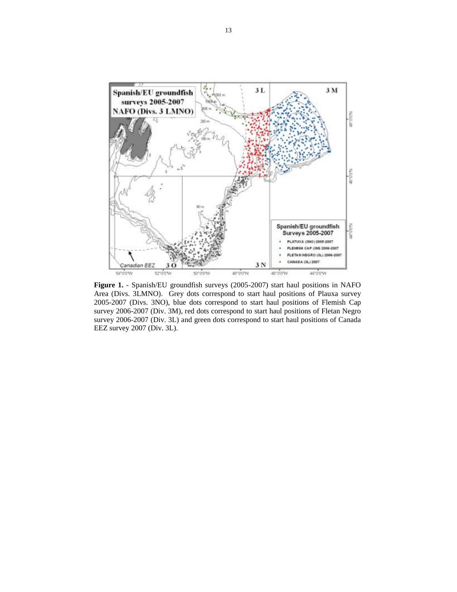

**Figure 1.** - Spanish/EU groundfish surveys (2005-2007) start haul positions in NAFO Area (Divs. 3LMNO). Grey dots correspond to start haul positions of Plauxa survey 2005-2007 (Divs. 3NO), blue dots correspond to start haul positions of Flemish Cap survey 2006-2007 (Div. 3M), red dots correspond to start haul positions of Fletan Negro survey 2006-2007 (Div. 3L) and green dots correspond to start haul positions of Canada EEZ survey 2007 (Div. 3L).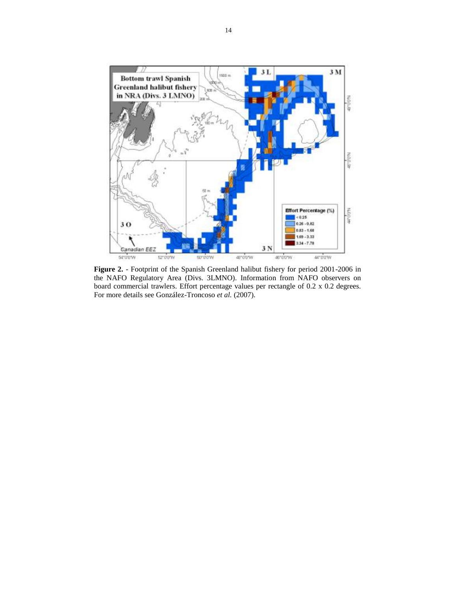

**Figure 2.** - Footprint of the Spanish Greenland halibut fishery for period 2001-2006 in the NAFO Regulatory Area (Divs. 3LMNO). Information from NAFO observers on board commercial trawlers. Effort percentage values per rectangle of 0.2 x 0.2 degrees. For more details see González-Troncoso et al. (2007).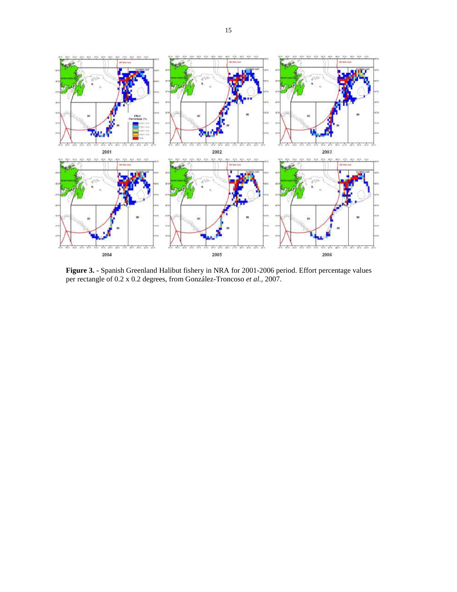

**Figure 3. -** Spanish Greenland Halibut fishery in NRA for 2001-2006 period. Effort percentage values per rectangle of 0.2 x 0.2 degrees, from González-Troncoso *et al.,* 2007.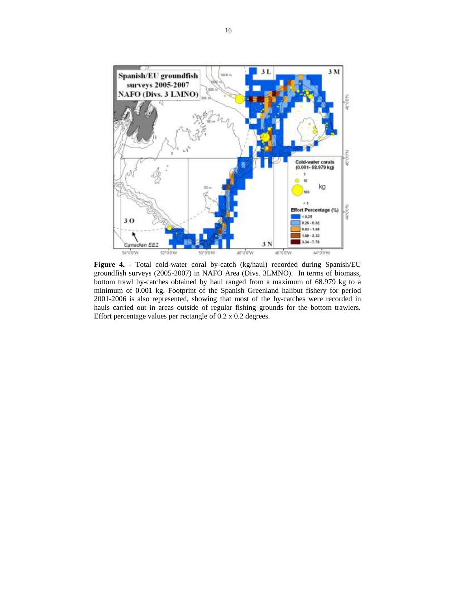

**Figure 4.** - Total cold-water coral by-catch (kg/haul) recorded during Spanish/EU groundfish surveys (2005-2007) in NAFO Area (Divs. 3LMNO). In terms of biomass, bottom trawl by-catches obtained by haul ranged from a maximum of 68.979 kg to a minimum of 0.001 kg. Footprint of the Spanish Greenland halibut fishery for period 2001-2006 is also represented, showing that most of the by-catches were recorded in hauls carried out in areas outside of regular fishing grounds for the bottom trawlers. Effort percentage values per rectangle of 0.2 x 0.2 degrees.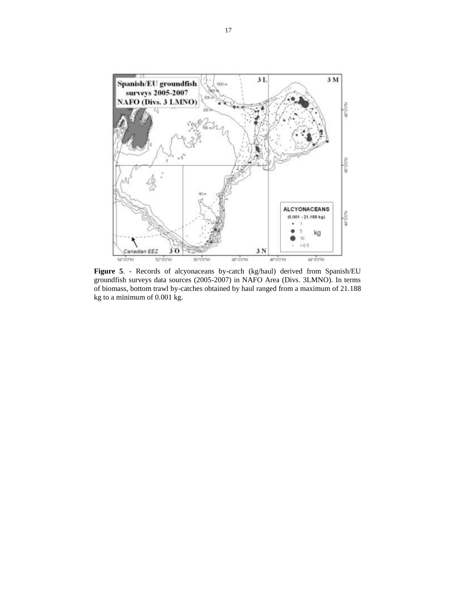

**Figure 5**. - Records of alcyonaceans by-catch (kg/haul) derived from Spanish/EU groundfish surveys data sources (2005-2007) in NAFO Area (Divs. 3LMNO). In terms of biomass, bottom trawl by-catches obtained by haul ranged from a maximum of 21.188 kg to a minimum of 0.001 kg.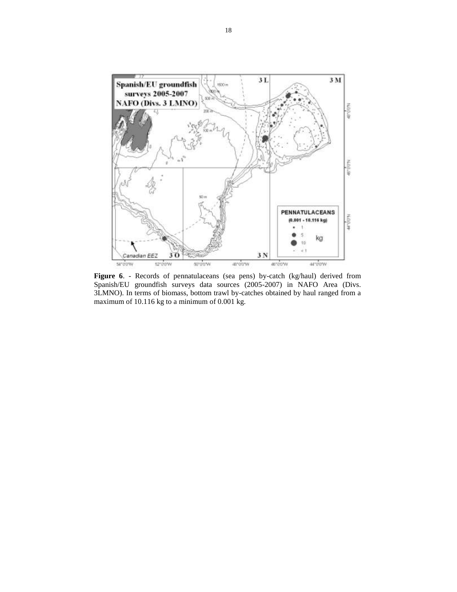

**Figure 6**. - Records of pennatulaceans (sea pens) by-catch (kg/haul) derived from Spanish/EU groundfish surveys data sources (2005-2007) in NAFO Area (Divs. 3LMNO). In terms of biomass, bottom trawl by-catches obtained by haul ranged from a maximum of 10.116 kg to a minimum of 0.001 kg.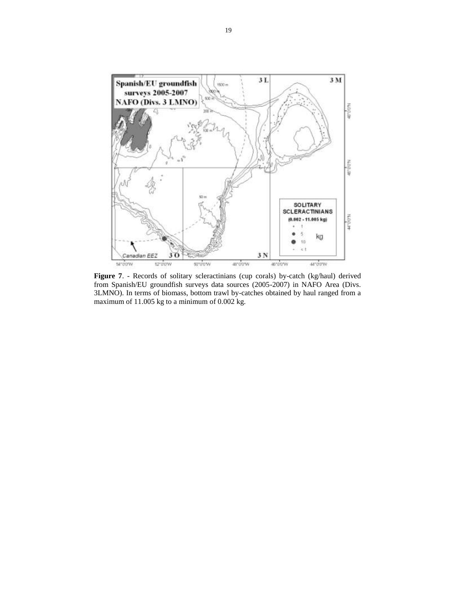

**Figure 7**. - Records of solitary scleractinians (cup corals) by-catch (kg/haul) derived from Spanish/EU groundfish surveys data sources (2005-2007) in NAFO Area (Divs. 3LMNO). In terms of biomass, bottom trawl by-catches obtained by haul ranged from a maximum of 11.005 kg to a minimum of 0.002 kg.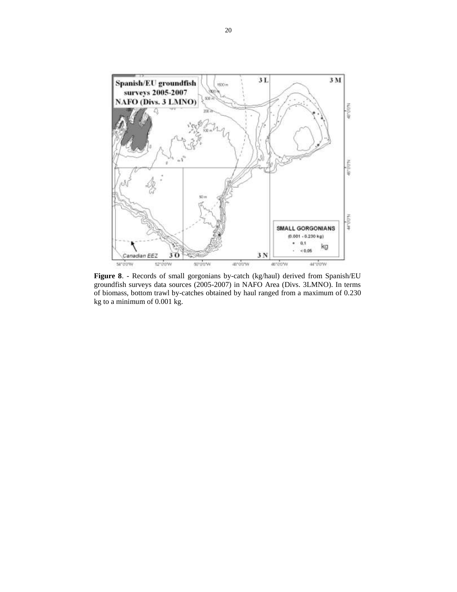

**Figure 8**. - Records of small gorgonians by-catch (kg/haul) derived from Spanish/EU groundfish surveys data sources (2005-2007) in NAFO Area (Divs. 3LMNO). In terms of biomass, bottom trawl by-catches obtained by haul ranged from a maximum of 0.230 kg to a minimum of 0.001 kg.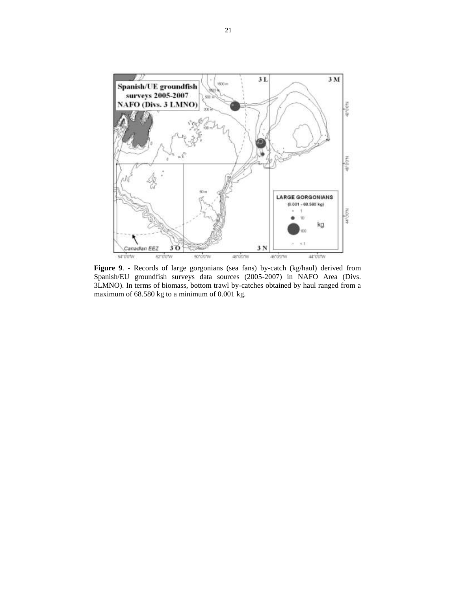

**Figure 9**. - Records of large gorgonians (sea fans) by-catch (kg/haul) derived from Spanish/EU groundfish surveys data sources (2005-2007) in NAFO Area (Divs. 3LMNO). In terms of biomass, bottom trawl by-catches obtained by haul ranged from a maximum of 68.580 kg to a minimum of 0.001 kg.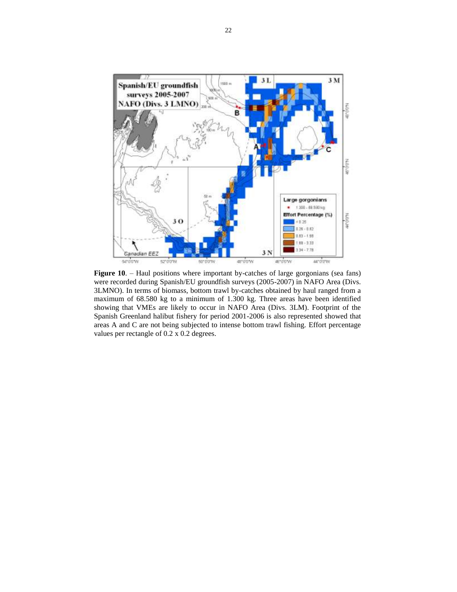

Figure 10. – Haul positions where important by-catches of large gorgonians (sea fans) were recorded during Spanish/EU groundfish surveys (2005-2007) in NAFO Area (Divs. 3LMNO). In terms of biomass, bottom trawl by-catches obtained by haul ranged from a maximum of 68.580 kg to a minimum of 1.300 kg. Three areas have been identified showing that VMEs are likely to occur in NAFO Area (Divs. 3LM). Footprint of the Spanish Greenland halibut fishery for period 2001-2006 is also represented showed that areas A and C are not being subjected to intense bottom trawl fishing. Effort percentage values per rectangle of 0.2 x 0.2 degrees.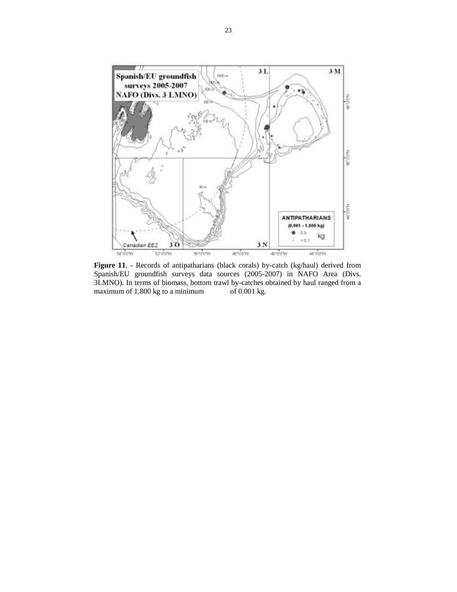

**Figure 11**. - Records of antipatharians (black corals) by-catch (kg/haul) derived from Spanish/EU groundfish surveys data sources (2005-2007) in NAFO Area (Divs. 3LMNO). In terms of biomass, bottom trawl by-catches obtained by haul ranged from a maximum of 1.800 kg to a minimum of 0.001 kg.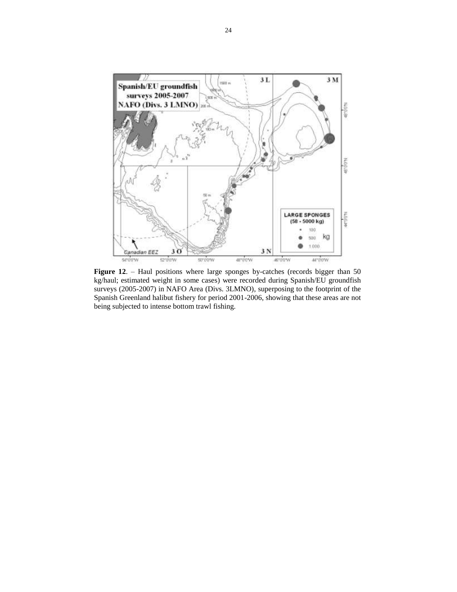

**Figure 12**. – Haul positions where large sponges by-catches (records bigger than 50 kg/haul; estimated weight in some cases) were recorded during Spanish/EU groundfish surveys (2005-2007) in NAFO Area (Divs. 3LMNO), superposing to the footprint of the Spanish Greenland halibut fishery for period 2001-2006, showing that these areas are not being subjected to intense bottom trawl fishing.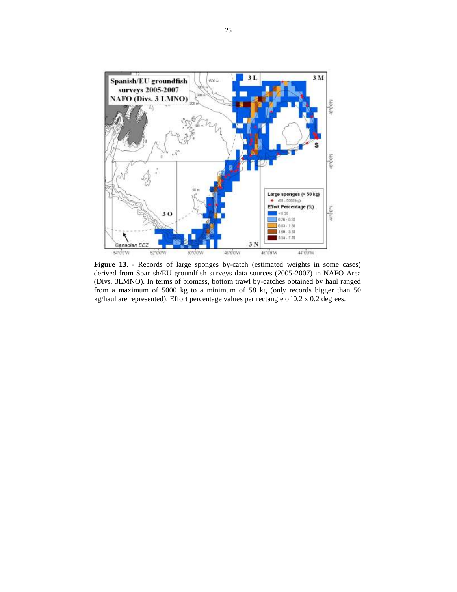

**Figure 13**. - Records of large sponges by-catch (estimated weights in some cases) derived from Spanish/EU groundfish surveys data sources (2005-2007) in NAFO Area (Divs. 3LMNO). In terms of biomass, bottom trawl by-catches obtained by haul ranged from a maximum of 5000 kg to a minimum of 58 kg (only records bigger than 50 kg/haul are represented). Effort percentage values per rectangle of 0.2 x 0.2 degrees.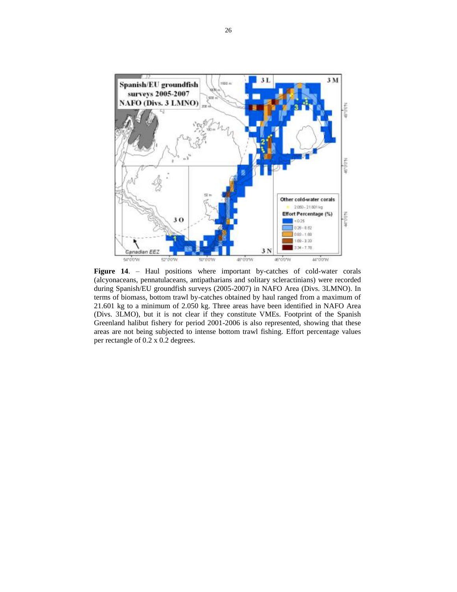

**Figure 14**. – Haul positions where important by-catches of cold-water corals (alcyonaceans, pennatulaceans, antipatharians and solitary scleractinians) were recorded during Spanish/EU groundfish surveys (2005-2007) in NAFO Area (Divs. 3LMNO). In terms of biomass, bottom trawl by-catches obtained by haul ranged from a maximum of 21.601 kg to a minimum of 2.050 kg. Three areas have been identified in NAFO Area (Divs. 3LMO), but it is not clear if they constitute VMEs. Footprint of the Spanish Greenland halibut fishery for period 2001-2006 is also represented, showing that these areas are not being subjected to intense bottom trawl fishing. Effort percentage values per rectangle of 0.2 x 0.2 degrees.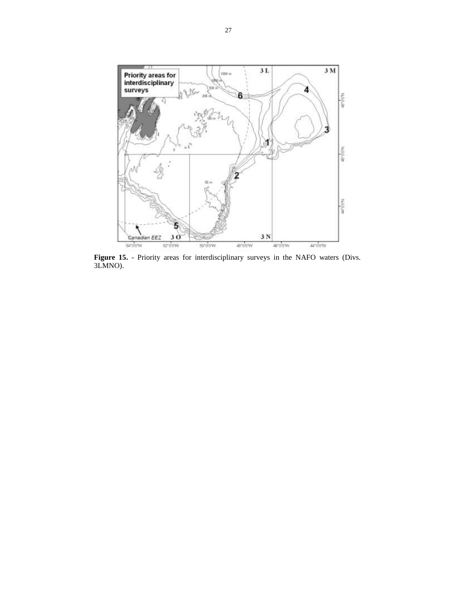

**Figure 15.** - Priority areas for interdisciplinary surveys in the NAFO waters (Divs. 3LMNO).